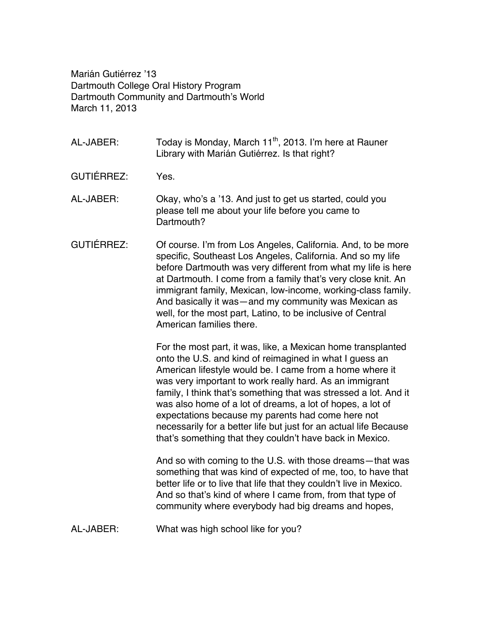Marián Gutiérrez '13 Dartmouth College Oral History Program Dartmouth Community and Dartmouth's World March 11, 2013

- AL-JABER: Today is Monday, March  $11<sup>th</sup>$ , 2013. I'm here at Rauner Library with Marián Gutiérrez. Is that right?
- GUTIÉRREZ: Yes.
- AL-JABER: Okay, who's a '13. And just to get us started, could you please tell me about your life before you came to Dartmouth?
- GUTIÉRREZ: Of course. I'm from Los Angeles, California. And, to be more specific, Southeast Los Angeles, California. And so my life before Dartmouth was very different from what my life is here at Dartmouth. I come from a family that's very close knit. An immigrant family, Mexican, low-income, working-class family. And basically it was—and my community was Mexican as well, for the most part, Latino, to be inclusive of Central American families there.

For the most part, it was, like, a Mexican home transplanted onto the U.S. and kind of reimagined in what I guess an American lifestyle would be. I came from a home where it was very important to work really hard. As an immigrant family, I think that's something that was stressed a lot. And it was also home of a lot of dreams, a lot of hopes, a lot of expectations because my parents had come here not necessarily for a better life but just for an actual life Because that's something that they couldn't have back in Mexico.

And so with coming to the U.S. with those dreams—that was something that was kind of expected of me, too, to have that better life or to live that life that they couldn't live in Mexico. And so that's kind of where I came from, from that type of community where everybody had big dreams and hopes,

AL-JABER: What was high school like for you?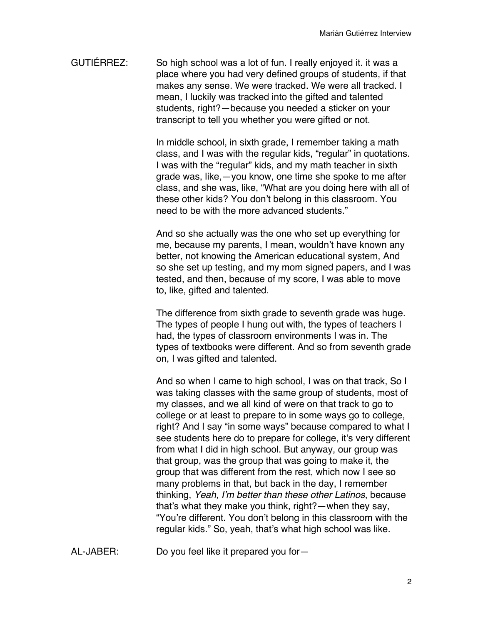GUTIÉRREZ: So high school was a lot of fun. I really enjoyed it. it was a place where you had very defined groups of students, if that makes any sense. We were tracked. We were all tracked. I mean, I luckily was tracked into the gifted and talented students, right?—because you needed a sticker on your transcript to tell you whether you were gifted or not.

> In middle school, in sixth grade, I remember taking a math class, and I was with the regular kids, "regular" in quotations. I was with the "regular" kids, and my math teacher in sixth grade was, like,—you know, one time she spoke to me after class, and she was, like, "What are you doing here with all of these other kids? You don't belong in this classroom. You need to be with the more advanced students."

> And so she actually was the one who set up everything for me, because my parents, I mean, wouldn't have known any better, not knowing the American educational system, And so she set up testing, and my mom signed papers, and I was tested, and then, because of my score, I was able to move to, like, gifted and talented.

> The difference from sixth grade to seventh grade was huge. The types of people I hung out with, the types of teachers I had, the types of classroom environments I was in. The types of textbooks were different. And so from seventh grade on, I was gifted and talented.

> And so when I came to high school, I was on that track, So I was taking classes with the same group of students, most of my classes, and we all kind of were on that track to go to college or at least to prepare to in some ways go to college, right? And I say "in some ways" because compared to what I see students here do to prepare for college, it's very different from what I did in high school. But anyway, our group was that group, was the group that was going to make it, the group that was different from the rest, which now I see so many problems in that, but back in the day, I remember thinking, *Yeah, I'm better than these other Latinos*, because that's what they make you think, right?—when they say, "You're different. You don't belong in this classroom with the regular kids." So, yeah, that's what high school was like.

AL-JABER: Do you feel like it prepared you for—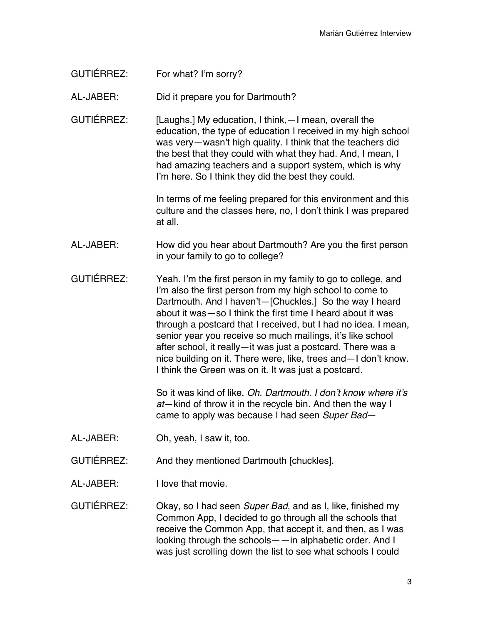GUTIÉRREZ: For what? I'm sorry?

AL-JABER: Did it prepare you for Dartmouth?

GUTIÉRREZ: [Laughs.] My education, I think, - I mean, overall the education, the type of education I received in my high school was very—wasn't high quality. I think that the teachers did the best that they could with what they had. And, I mean, I had amazing teachers and a support system, which is why I'm here. So I think they did the best they could.

> In terms of me feeling prepared for this environment and this culture and the classes here, no, I don't think I was prepared at all.

- AL-JABER: How did you hear about Dartmouth? Are you the first person in your family to go to college?
- GUTIÉRREZ: Yeah. I'm the first person in my family to go to college, and I'm also the first person from my high school to come to Dartmouth. And I haven't—[Chuckles.] So the way I heard about it was—so I think the first time I heard about it was through a postcard that I received, but I had no idea. I mean, senior year you receive so much mailings, it's like school after school, it really—it was just a postcard. There was a nice building on it. There were, like, trees and—I don't know. I think the Green was on it. It was just a postcard.

So it was kind of like, *Oh. Dartmouth. I don't know where it's at*—kind of throw it in the recycle bin. And then the way I came to apply was because I had seen *Super Bad*—

- AL-JABER: Oh, yeah, I saw it, too.
- GUTIÉRREZ: And they mentioned Dartmouth [chuckles].
- AL-JABER: I love that movie.

GUTIÉRREZ: Okay, so I had seen *Super Bad*, and as I, like, finished my Common App, I decided to go through all the schools that receive the Common App, that accept it, and then, as I was looking through the schools——in alphabetic order. And I was just scrolling down the list to see what schools I could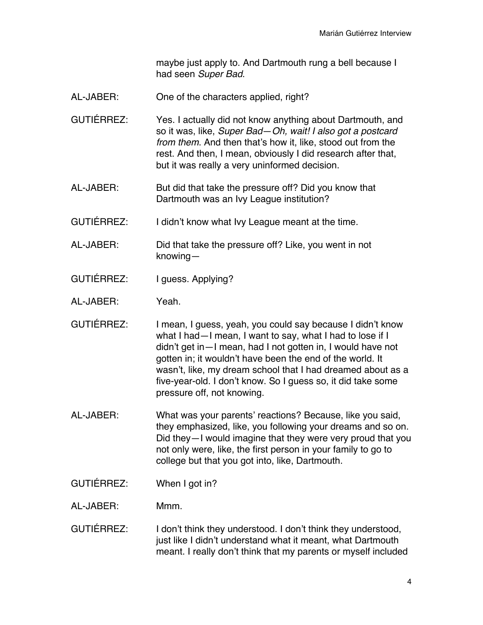maybe just apply to. And Dartmouth rung a bell because I had seen *Super Bad*.

- AL-JABER: One of the characters applied, right?
- GUTIÉRREZ: Yes. I actually did not know anything about Dartmouth, and so it was, like, *Super Bad*—*Oh, wait! I also got a postcard from them*. And then that's how it, like, stood out from the rest. And then, I mean, obviously I did research after that, but it was really a very uninformed decision.
- AL-JABER: But did that take the pressure off? Did you know that Dartmouth was an Ivy League institution?
- GUTIÉRREZ: I didn't know what Ivy League meant at the time.
- AL-JABER: Did that take the pressure off? Like, you went in not knowing—
- GUTIÉRREZ: I guess. Applying?
- AL-JABER: Yeah.
- GUTIÉRREZ: I mean, I guess, yeah, you could say because I didn't know what I had—I mean, I want to say, what I had to lose if I didn't get in—I mean, had I not gotten in, I would have not gotten in; it wouldn't have been the end of the world. It wasn't, like, my dream school that I had dreamed about as a five-year-old. I don't know. So I guess so, it did take some pressure off, not knowing.
- AL-JABER: What was your parents' reactions? Because, like you said, they emphasized, like, you following your dreams and so on. Did they—I would imagine that they were very proud that you not only were, like, the first person in your family to go to college but that you got into, like, Dartmouth.
- GUTIÉRREZ: When I got in?
- AL-JABER: Mmm.
- GUTIÉRREZ: I don't think they understood. I don't think they understood, just like I didn't understand what it meant, what Dartmouth meant. I really don't think that my parents or myself included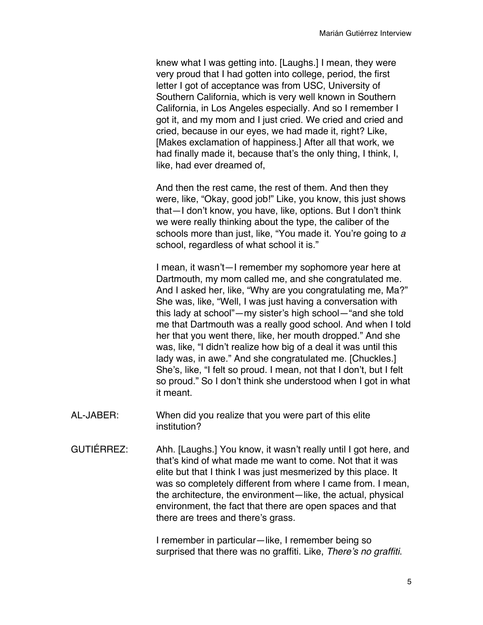knew what I was getting into. [Laughs.] I mean, they were very proud that I had gotten into college, period, the first letter I got of acceptance was from USC, University of Southern California, which is very well known in Southern California, in Los Angeles especially. And so I remember I got it, and my mom and I just cried. We cried and cried and cried, because in our eyes, we had made it, right? Like, [Makes exclamation of happiness.] After all that work, we had finally made it, because that's the only thing, I think, I, like, had ever dreamed of,

And then the rest came, the rest of them. And then they were, like, "Okay, good job!" Like, you know, this just shows that—I don't know, you have, like, options. But I don't think we were really thinking about the type, the caliber of the schools more than just, like, "You made it. You're going to *a* school, regardless of what school it is."

I mean, it wasn't—I remember my sophomore year here at Dartmouth, my mom called me, and she congratulated me. And I asked her, like, "Why are you congratulating me, Ma?" She was, like, "Well, I was just having a conversation with this lady at school"—my sister's high school—"and she told me that Dartmouth was a really good school. And when I told her that you went there, like, her mouth dropped." And she was, like, "I didn't realize how big of a deal it was until this lady was, in awe." And she congratulated me. [Chuckles.] She's, like, "I felt so proud. I mean, not that I don't, but I felt so proud." So I don't think she understood when I got in what it meant.

- AL-JABER: When did you realize that you were part of this elite institution?
- GUTIÉRREZ: Ahh. [Laughs.] You know, it wasn't really until I got here, and that's kind of what made me want to come. Not that it was elite but that I think I was just mesmerized by this place. It was so completely different from where I came from. I mean, the architecture, the environment—like, the actual, physical environment, the fact that there are open spaces and that there are trees and there's grass.

I remember in particular—like, I remember being so surprised that there was no graffiti. Like, *There's no graffiti*.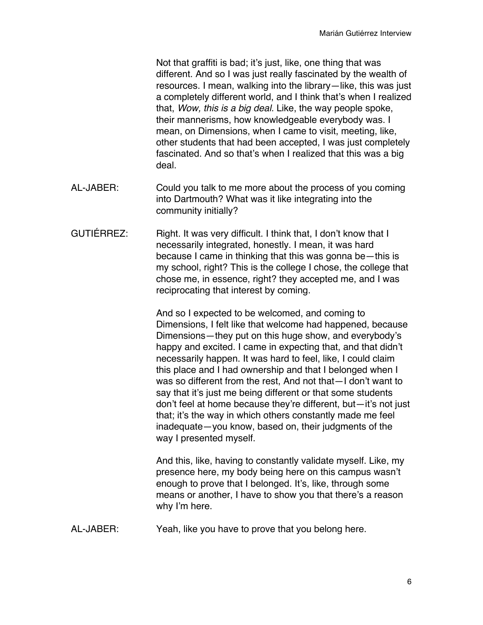Not that graffiti is bad; it's just, like, one thing that was different. And so I was just really fascinated by the wealth of resources. I mean, walking into the library—like, this was just a completely different world, and I think that's when I realized that, *Wow, this is a big deal.* Like, the way people spoke, their mannerisms, how knowledgeable everybody was. I mean, on Dimensions, when I came to visit, meeting, like, other students that had been accepted, I was just completely fascinated. And so that's when I realized that this was a big deal.

- AL-JABER: Could you talk to me more about the process of you coming into Dartmouth? What was it like integrating into the community initially?
- GUTIÉRREZ: Right. It was very difficult. I think that, I don't know that I necessarily integrated, honestly. I mean, it was hard because I came in thinking that this was gonna be—this is my school, right? This is the college I chose, the college that chose me, in essence, right? they accepted me, and I was reciprocating that interest by coming.

And so I expected to be welcomed, and coming to Dimensions, I felt like that welcome had happened, because Dimensions—they put on this huge show, and everybody's happy and excited. I came in expecting that, and that didn't necessarily happen. It was hard to feel, like, I could claim this place and I had ownership and that I belonged when I was so different from the rest, And not that—I don't want to say that it's just me being different or that some students don't feel at home because they're different, but—it's not just that; it's the way in which others constantly made me feel inadequate—you know, based on, their judgments of the way I presented myself.

And this, like, having to constantly validate myself. Like, my presence here, my body being here on this campus wasn't enough to prove that I belonged. It's, like, through some means or another, I have to show you that there's a reason why I'm here.

AL-JABER: Yeah, like you have to prove that you belong here.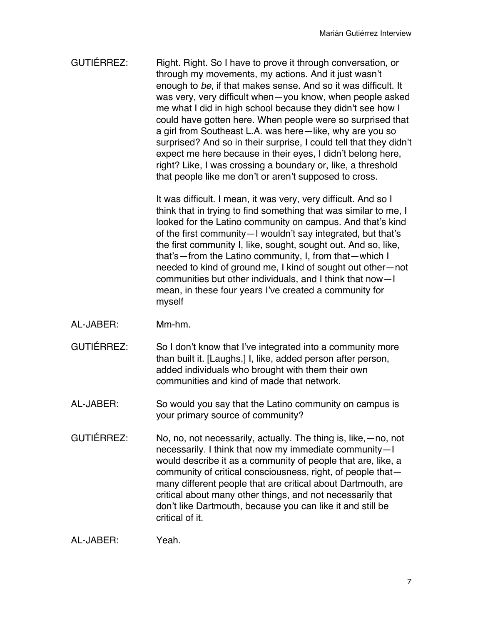GUTIÉRREZ: Right. Right. So I have to prove it through conversation, or through my movements, my actions. And it just wasn't enough to *be*, if that makes sense. And so it was difficult. It was very, very difficult when—you know, when people asked me what I did in high school because they didn't see how I could have gotten here. When people were so surprised that a girl from Southeast L.A. was here—like, why are you so surprised? And so in their surprise, I could tell that they didn't expect me here because in their eyes, I didn't belong here, right? Like, I was crossing a boundary or, like, a threshold that people like me don't or aren't supposed to cross.

> It was difficult. I mean, it was very, very difficult. And so I think that in trying to find something that was similar to me, I looked for the Latino community on campus. And that's kind of the first community—I wouldn't say integrated, but that's the first community I, like, sought, sought out. And so, like, that's—from the Latino community, I, from that—which I needed to kind of ground me, I kind of sought out other—not communities but other individuals, and I think that now—I mean, in these four years I've created a community for myself

- AL-JABER: Mm-hm.
- GUTIÉRREZ: So I don't know that I've integrated into a community more than built it. [Laughs.] I, like, added person after person, added individuals who brought with them their own communities and kind of made that network.
- AL-JABER: So would you say that the Latino community on campus is your primary source of community?
- GUTIÉRREZ: No, no, not necessarily, actually. The thing is, like,—no, not necessarily. I think that now my immediate community—I would describe it as a community of people that are, like, a community of critical consciousness, right, of people that many different people that are critical about Dartmouth, are critical about many other things, and not necessarily that don't like Dartmouth, because you can like it and still be critical of it.

AL-JABER: Yeah.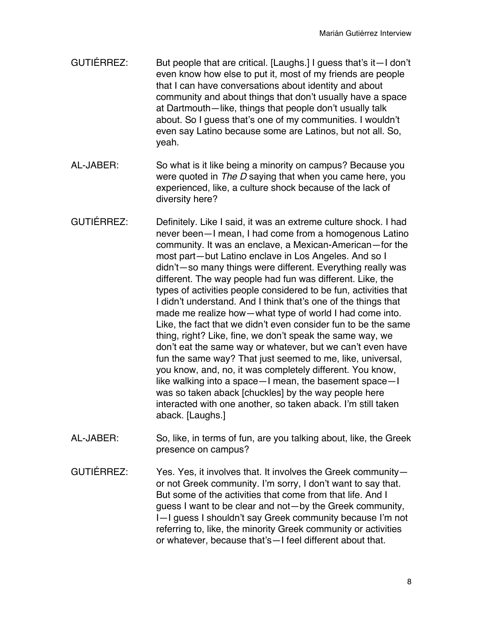- GUTIÉRREZ: But people that are critical. [Laughs.] I guess that's it—I don't even know how else to put it, most of my friends are people that I can have conversations about identity and about community and about things that don't usually have a space at Dartmouth—like, things that people don't usually talk about. So I guess that's one of my communities. I wouldn't even say Latino because some are Latinos, but not all. So, yeah.
- AL-JABER: So what is it like being a minority on campus? Because you were quoted in *The D* saying that when you came here, you experienced, like, a culture shock because of the lack of diversity here?
- GUTIÉRREZ: Definitely. Like I said, it was an extreme culture shock. I had never been—I mean, I had come from a homogenous Latino community. It was an enclave, a Mexican-American—for the most part—but Latino enclave in Los Angeles. And so I didn't—so many things were different. Everything really was different. The way people had fun was different. Like, the types of activities people considered to be fun, activities that I didn't understand. And I think that's one of the things that made me realize how—what type of world I had come into. Like, the fact that we didn't even consider fun to be the same thing, right? Like, fine, we don't speak the same way, we don't eat the same way or whatever, but we can't even have fun the same way? That just seemed to me, like, universal, you know, and, no, it was completely different. You know, like walking into a space—I mean, the basement space—I was so taken aback [chuckles] by the way people here interacted with one another, so taken aback. I'm still taken aback. [Laughs.]
- AL-JABER: So, like, in terms of fun, are you talking about, like, the Greek presence on campus?
- GUTIÉRREZ: Yes. Yes, it involves that. It involves the Greek community or not Greek community. I'm sorry, I don't want to say that. But some of the activities that come from that life. And I guess I want to be clear and not—by the Greek community, I—I guess I shouldn't say Greek community because I'm not referring to, like, the minority Greek community or activities or whatever, because that's—I feel different about that.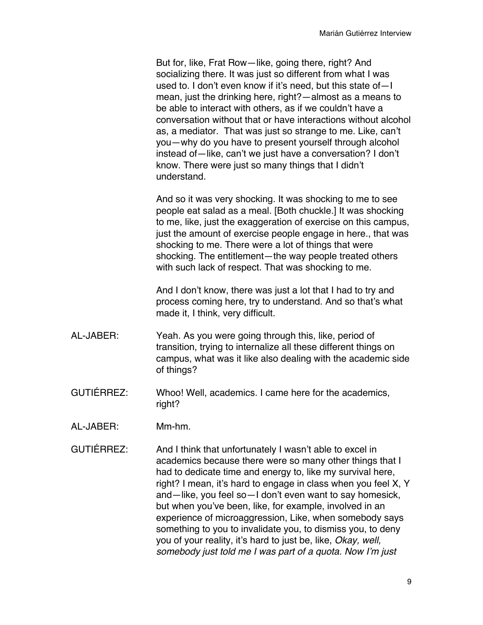But for, like, Frat Row—like, going there, right? And socializing there. It was just so different from what I was used to. I don't even know if it's need, but this state of—I mean, just the drinking here, right?—almost as a means to be able to interact with others, as if we couldn't have a conversation without that or have interactions without alcohol as, a mediator. That was just so strange to me. Like, can't you—why do you have to present yourself through alcohol instead of—like, can't we just have a conversation? I don't know. There were just so many things that I didn't understand.

And so it was very shocking. It was shocking to me to see people eat salad as a meal. [Both chuckle.] It was shocking to me, like, just the exaggeration of exercise on this campus, just the amount of exercise people engage in here., that was shocking to me. There were a lot of things that were shocking. The entitlement—the way people treated others with such lack of respect. That was shocking to me.

And I don't know, there was just a lot that I had to try and process coming here, try to understand. And so that's what made it, I think, very difficult.

- AL-JABER: Yeah. As you were going through this, like, period of transition, trying to internalize all these different things on campus, what was it like also dealing with the academic side of things?
- GUTIÉRREZ: Whoo! Well, academics. I came here for the academics, right?
- AL-JABER: Mm-hm.
- GUTIÉRREZ: And I think that unfortunately I wasn't able to excel in academics because there were so many other things that I had to dedicate time and energy to, like my survival here, right? I mean, it's hard to engage in class when you feel X, Y and—like, you feel so—I don't even want to say homesick, but when you've been, like, for example, involved in an experience of microaggression, Like, when somebody says something to you to invalidate you, to dismiss you, to deny you of your reality, it's hard to just be, like, *Okay, well, somebody just told me I was part of a quota. Now I'm just*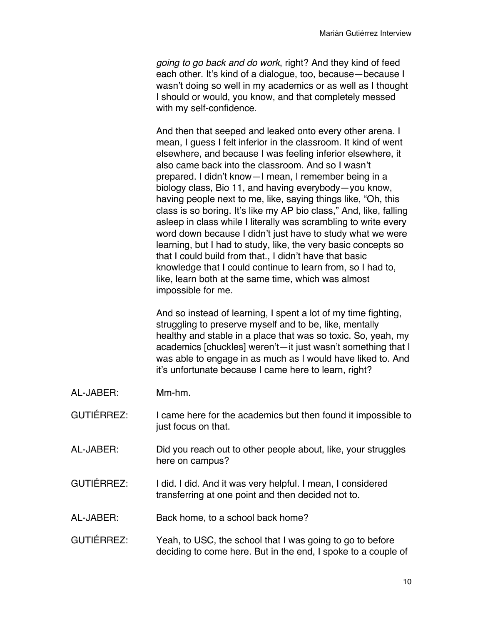*going to go back and do work*, right? And they kind of feed each other. It's kind of a dialogue, too, because—because I wasn't doing so well in my academics or as well as I thought I should or would, you know, and that completely messed with my self-confidence.

And then that seeped and leaked onto every other arena. I mean, I guess I felt inferior in the classroom. It kind of went elsewhere, and because I was feeling inferior elsewhere, it also came back into the classroom. And so I wasn't prepared. I didn't know—I mean, I remember being in a biology class, Bio 11, and having everybody—you know, having people next to me, like, saying things like, "Oh, this class is so boring. It's like my AP bio class," And, like, falling asleep in class while I literally was scrambling to write every word down because I didn't just have to study what we were learning, but I had to study, like, the very basic concepts so that I could build from that., I didn't have that basic knowledge that I could continue to learn from, so I had to, like, learn both at the same time, which was almost impossible for me.

And so instead of learning, I spent a lot of my time fighting, struggling to preserve myself and to be, like, mentally healthy and stable in a place that was so toxic. So, yeah, my academics [chuckles] weren't—it just wasn't something that I was able to engage in as much as I would have liked to. And it's unfortunate because I came here to learn, right?

- AL-JABER: Mm-hm.
- GUTIÉRREZ: I came here for the academics but then found it impossible to just focus on that.
- AL-JABER: Did you reach out to other people about, like, your struggles here on campus?
- GUTIÉRREZ: I did. I did. And it was very helpful. I mean, I considered transferring at one point and then decided not to.
- AL-JABER: Back home, to a school back home?
- GUTIÉRREZ: Yeah, to USC, the school that I was going to go to before deciding to come here. But in the end, I spoke to a couple of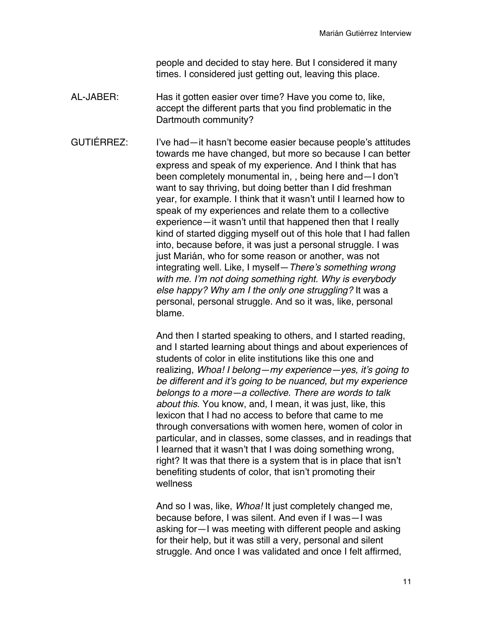people and decided to stay here. But I considered it many times. I considered just getting out, leaving this place.

AL-JABER: Has it gotten easier over time? Have you come to, like, accept the different parts that you find problematic in the Dartmouth community?

GUTIÉRREZ: I've had—it hasn't become easier because people's attitudes towards me have changed, but more so because I can better express and speak of my experience. And I think that has been completely monumental in, , being here and—I don't want to say thriving, but doing better than I did freshman year, for example. I think that it wasn't until I learned how to speak of my experiences and relate them to a collective experience—it wasn't until that happened then that I really kind of started digging myself out of this hole that I had fallen into, because before, it was just a personal struggle. I was just Marián, who for some reason or another, was not integrating well. Like, I myself—*There's something wrong with me. I'm not doing something right. Why is everybody else happy? Why am I the only one struggling?* It was a personal, personal struggle. And so it was, like, personal blame.

> And then I started speaking to others, and I started reading, and I started learning about things and about experiences of students of color in elite institutions like this one and realizing, *Whoa! I belong—my experience—yes, it's going to be different and it's going to be nuanced, but my experience belongs to a more—a collective. There are words to talk about this*. You know, and, I mean, it was just, like, this lexicon that I had no access to before that came to me through conversations with women here, women of color in particular, and in classes, some classes, and in readings that I learned that it wasn't that I was doing something wrong, right? It was that there is a system that is in place that isn't benefiting students of color, that isn't promoting their wellness

And so I was, like, *Whoa!* It just completely changed me, because before, I was silent. And even if I was—I was asking for—I was meeting with different people and asking for their help, but it was still a very, personal and silent struggle. And once I was validated and once I felt affirmed,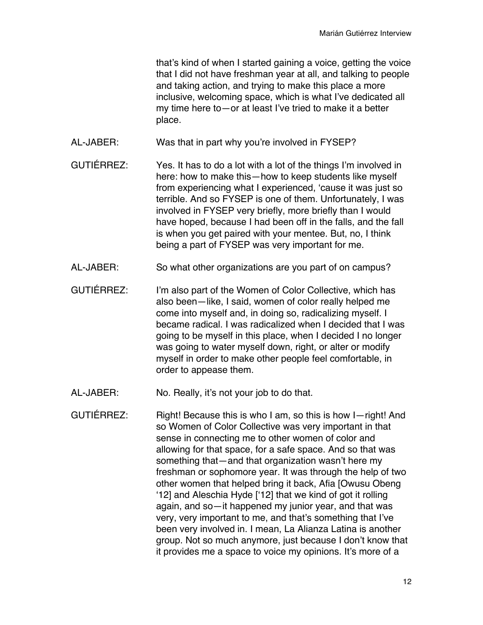that's kind of when I started gaining a voice, getting the voice that I did not have freshman year at all, and talking to people and taking action, and trying to make this place a more inclusive, welcoming space, which is what I've dedicated all my time here to—or at least I've tried to make it a better place.

- AL-JABER: Was that in part why you're involved in FYSEP?
- GUTIÉRREZ: Yes. It has to do a lot with a lot of the things I'm involved in here: how to make this—how to keep students like myself from experiencing what I experienced, 'cause it was just so terrible. And so FYSEP is one of them. Unfortunately, I was involved in FYSEP very briefly, more briefly than I would have hoped, because I had been off in the falls, and the fall is when you get paired with your mentee. But, no, I think being a part of FYSEP was very important for me.
- AL-JABER: So what other organizations are you part of on campus?
- GUTIÉRREZ: I'm also part of the Women of Color Collective, which has also been—like, I said, women of color really helped me come into myself and, in doing so, radicalizing myself. I became radical. I was radicalized when I decided that I was going to be myself in this place, when I decided I no longer was going to water myself down, right, or alter or modify myself in order to make other people feel comfortable, in order to appease them.
- AL-JABER: No. Really, it's not your job to do that.
- GUTIÉRREZ: Right! Because this is who I am, so this is how I—right! And so Women of Color Collective was very important in that sense in connecting me to other women of color and allowing for that space, for a safe space. And so that was something that—and that organization wasn't here my freshman or sophomore year. It was through the help of two other women that helped bring it back, Afia [Owusu Obeng '12] and Aleschia Hyde ['12] that we kind of got it rolling again, and so—it happened my junior year, and that was very, very important to me, and that's something that I've been very involved in. I mean, La Alianza Latina is another group. Not so much anymore, just because I don't know that it provides me a space to voice my opinions. It's more of a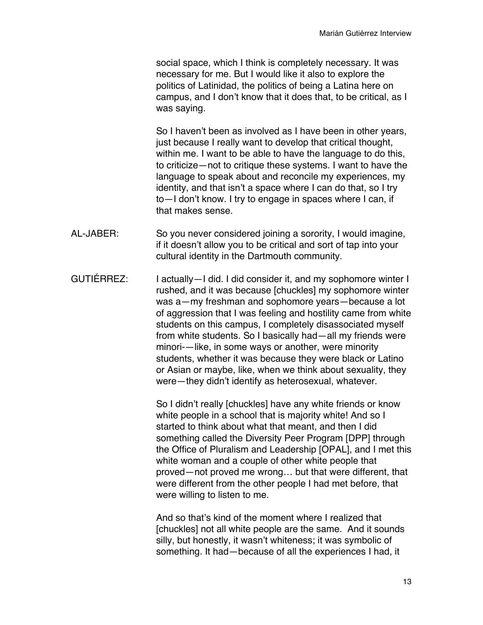social space, which I think is completely necessary. It was necessary for me. But I would like it also to explore the politics of Latinidad, the politics of being a Latina here on campus, and I don't know that it does that, to be critical, as I was saying.

So I haven't been as involved as I have been in other years, just because I really want to develop that critical thought, within me. I want to be able to have the language to do this, to criticize—not to critique these systems. I want to have the language to speak about and reconcile my experiences, my identity, and that isn't a space where I can do that, so I try to—I don't know. I try to engage in spaces where I can, if that makes sense.

- AL-JABER: So you never considered joining a sorority, I would imagine, if it doesn't allow you to be critical and sort of tap into your cultural identity in the Dartmouth community.
- GUTIÉRREZ: I actually I did. I did consider it, and my sophomore winter I rushed, and it was because [chuckles] my sophomore winter was a—my freshman and sophomore years—because a lot of aggression that I was feeling and hostility came from white students on this campus, I completely disassociated myself from white students. So I basically had—all my friends were minori-—like, in some ways or another, were minority students, whether it was because they were black or Latino or Asian or maybe, like, when we think about sexuality, they were—they didn't identify as heterosexual, whatever.

So I didn't really [chuckles] have any white friends or know white people in a school that is majority white! And so I started to think about what that meant, and then I did something called the Diversity Peer Program [DPP] through the Office of Pluralism and Leadership [OPAL], and I met this white woman and a couple of other white people that proved—not proved me wrong… but that were different, that were different from the other people I had met before, that were willing to listen to me.

And so that's kind of the moment where I realized that [chuckles] not all white people are the same. And it sounds silly, but honestly, it wasn't whiteness; it was symbolic of something. It had—because of all the experiences I had, it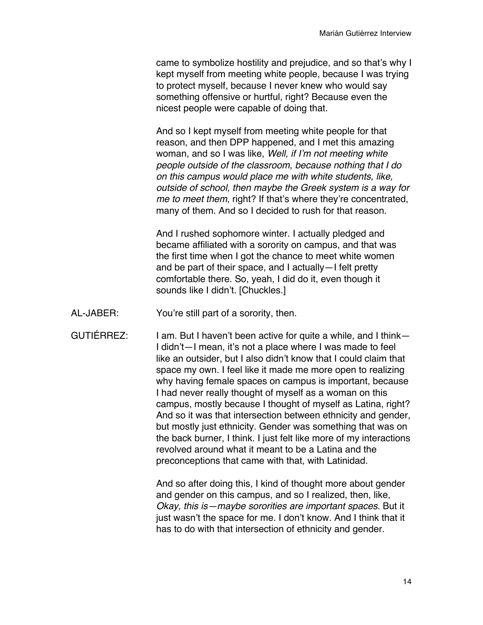came to symbolize hostility and prejudice, and so that's why I kept myself from meeting white people, because I was trying to protect myself, because I never knew who would say something offensive or hurtful, right? Because even the nicest people were capable of doing that.

And so I kept myself from meeting white people for that reason, and then DPP happened, and I met this amazing woman, and so I was like, *Well, if I'm not meeting white people outside of the classroom, because nothing that I do on this campus would place me with white students, like, outside of school, then maybe the Greek system is a way for me to meet them*, right? If that's where they're concentrated, many of them. And so I decided to rush for that reason.

And I rushed sophomore winter. I actually pledged and became affiliated with a sorority on campus, and that was the first time when I got the chance to meet white women and be part of their space, and I actually—I felt pretty comfortable there. So, yeah, I did do it, even though it sounds like I didn't. [Chuckles.]

- AL-JABER: You're still part of a sorority, then.
- GUTIÉRREZ: I am. But I haven't been active for quite a while, and I think-I didn't—I mean, it's not a place where I was made to feel like an outsider, but I also didn't know that I could claim that space my own. I feel like it made me more open to realizing why having female spaces on campus is important, because I had never really thought of myself as a woman on this campus, mostly because I thought of myself as Latina, right? And so it was that intersection between ethnicity and gender, but mostly just ethnicity. Gender was something that was on the back burner, I think. I just felt like more of my interactions revolved around what it meant to be a Latina and the preconceptions that came with that, with Latinidad.

And so after doing this, I kind of thought more about gender and gender on this campus, and so I realized, then, like, *Okay, this is—maybe sororities are important spaces*. But it just wasn't the space for me. I don't know. And I think that it has to do with that intersection of ethnicity and gender.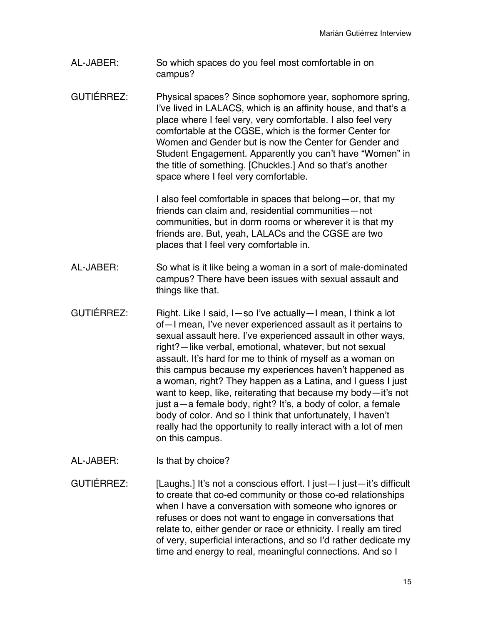- AL-JABER: So which spaces do you feel most comfortable in on campus?
- GUTIÉRREZ: Physical spaces? Since sophomore year, sophomore spring, I've lived in LALACS, which is an affinity house, and that's a place where I feel very, very comfortable. I also feel very comfortable at the CGSE, which is the former Center for Women and Gender but is now the Center for Gender and Student Engagement. Apparently you can't have "Women" in the title of something. [Chuckles.] And so that's another space where I feel very comfortable.

I also feel comfortable in spaces that belong—or, that my friends can claim and, residential communities—not communities, but in dorm rooms or wherever it is that my friends are. But, yeah, LALACs and the CGSE are two places that I feel very comfortable in.

- AL-JABER: So what is it like being a woman in a sort of male-dominated campus? There have been issues with sexual assault and things like that.
- GUTIÉRREZ: Right. Like I said, I—so I've actually—I mean, I think a lot of—I mean, I've never experienced assault as it pertains to sexual assault here. I've experienced assault in other ways, right?—like verbal, emotional, whatever, but not sexual assault. It's hard for me to think of myself as a woman on this campus because my experiences haven't happened as a woman, right? They happen as a Latina, and I guess I just want to keep, like, reiterating that because my body—it's not just a—a female body, right? It's, a body of color, a female body of color. And so I think that unfortunately, I haven't really had the opportunity to really interact with a lot of men on this campus.
- AL-JABER: Is that by choice?

GUTIÉRREZ: [Laughs.] It's not a conscious effort. I just—I just—it's difficult to create that co-ed community or those co-ed relationships when I have a conversation with someone who ignores or refuses or does not want to engage in conversations that relate to, either gender or race or ethnicity. I really am tired of very, superficial interactions, and so I'd rather dedicate my time and energy to real, meaningful connections. And so I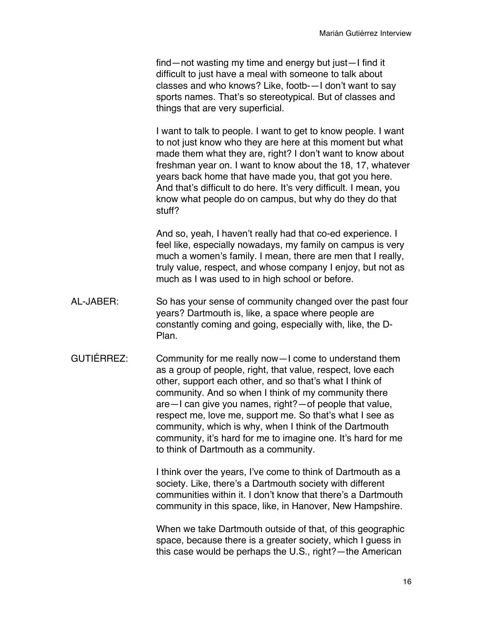find—not wasting my time and energy but just—I find it difficult to just have a meal with someone to talk about classes and who knows? Like, footb-—I don't want to say sports names. That's so stereotypical. But of classes and things that are very superficial.

I want to talk to people. I want to get to know people. I want to not just know who they are here at this moment but what made them what they are, right? I don't want to know about freshman year on. I want to know about the 18, 17, whatever years back home that have made you, that got you here. And that's difficult to do here. It's very difficult. I mean, you know what people do on campus, but why do they do that stuff?

And so, yeah, I haven't really had that co-ed experience. I feel like, especially nowadays, my family on campus is very much a women's family. I mean, there are men that I really, truly value, respect, and whose company I enjoy, but not as much as I was used to in high school or before.

- AL-JABER: So has your sense of community changed over the past four years? Dartmouth is, like, a space where people are constantly coming and going, especially with, like, the D-Plan.
- GUTIÉRREZ: Community for me really now—I come to understand them as a group of people, right, that value, respect, love each other, support each other, and so that's what I think of community. And so when I think of my community there are—I can give you names, right?—of people that value, respect me, love me, support me. So that's what I see as community, which is why, when I think of the Dartmouth community, it's hard for me to imagine one. It's hard for me to think of Dartmouth as a community.

I think over the years, I've come to think of Dartmouth as a society. Like, there's a Dartmouth society with different communities within it. I don't know that there's a Dartmouth community in this space, like, in Hanover, New Hampshire.

When we take Dartmouth outside of that, of this geographic space, because there is a greater society, which I guess in this case would be perhaps the U.S., right?—the American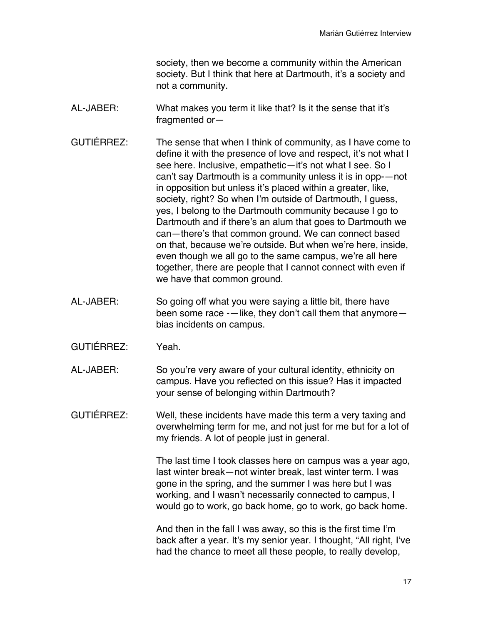society, then we become a community within the American society. But I think that here at Dartmouth, it's a society and not a community.

- AL-JABER: What makes you term it like that? Is it the sense that it's fragmented or—
- GUTIÉRREZ: The sense that when I think of community, as I have come to define it with the presence of love and respect, it's not what I see here. Inclusive, empathetic-it's not what I see. So I can't say Dartmouth is a community unless it is in opp-—not in opposition but unless it's placed within a greater, like, society, right? So when I'm outside of Dartmouth, I guess, yes, I belong to the Dartmouth community because I go to Dartmouth and if there's an alum that goes to Dartmouth we can—there's that common ground. We can connect based on that, because we're outside. But when we're here, inside, even though we all go to the same campus, we're all here together, there are people that I cannot connect with even if we have that common ground.
- AL-JABER: So going off what you were saying a little bit, there have been some race -—like, they don't call them that anymore bias incidents on campus.
- GUTIÉRREZ: Yeah.
- AL-JABER: So you're very aware of your cultural identity, ethnicity on campus. Have you reflected on this issue? Has it impacted your sense of belonging within Dartmouth?
- GUTIÉRREZ: Well, these incidents have made this term a very taxing and overwhelming term for me, and not just for me but for a lot of my friends. A lot of people just in general.

The last time I took classes here on campus was a year ago, last winter break—not winter break, last winter term. I was gone in the spring, and the summer I was here but I was working, and I wasn't necessarily connected to campus, I would go to work, go back home, go to work, go back home.

And then in the fall I was away, so this is the first time I'm back after a year. It's my senior year. I thought, "All right, I've had the chance to meet all these people, to really develop,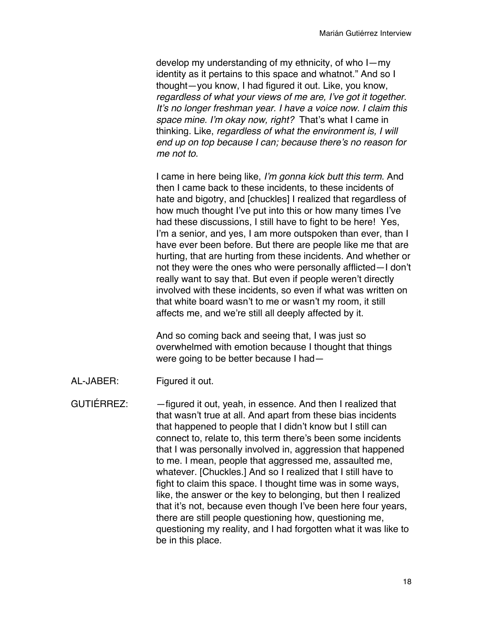develop my understanding of my ethnicity, of who I—my identity as it pertains to this space and whatnot." And so I thought—you know, I had figured it out. Like, you know, *regardless of what your views of me are, I've got it together. It's no longer freshman year. I have a voice now. I claim this space mine. I'm okay now, right?* That's what I came in thinking. Like, *regardless of what the environment is, I will end up on top because I can; because there's no reason for me not to.*

I came in here being like, *I'm gonna kick butt this term*. And then I came back to these incidents, to these incidents of hate and bigotry, and [chuckles] I realized that regardless of how much thought I've put into this or how many times I've had these discussions, I still have to fight to be here! Yes, I'm a senior, and yes, I am more outspoken than ever, than I have ever been before. But there are people like me that are hurting, that are hurting from these incidents. And whether or not they were the ones who were personally afflicted—I don't really want to say that. But even if people weren't directly involved with these incidents, so even if what was written on that white board wasn't to me or wasn't my room, it still affects me, and we're still all deeply affected by it.

And so coming back and seeing that, I was just so overwhelmed with emotion because I thought that things were going to be better because I had—

AL-JABER: Figured it out.

GUTIÉRREZ: —figured it out, yeah, in essence. And then I realized that that wasn't true at all. And apart from these bias incidents that happened to people that I didn't know but I still can connect to, relate to, this term there's been some incidents that I was personally involved in, aggression that happened to me. I mean, people that aggressed me, assaulted me, whatever. [Chuckles.] And so I realized that I still have to fight to claim this space. I thought time was in some ways, like, the answer or the key to belonging, but then I realized that it's not, because even though I've been here four years, there are still people questioning how, questioning me, questioning my reality, and I had forgotten what it was like to be in this place.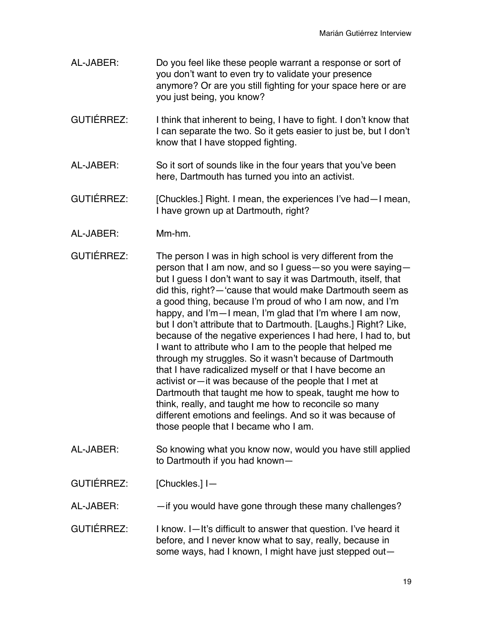- AL-JABER: Do you feel like these people warrant a response or sort of you don't want to even try to validate your presence anymore? Or are you still fighting for your space here or are you just being, you know?
- GUTIÉRREZ: I think that inherent to being, I have to fight. I don't know that I can separate the two. So it gets easier to just be, but I don't know that I have stopped fighting.
- AL-JABER: So it sort of sounds like in the four years that you've been here, Dartmouth has turned you into an activist.
- GUTIÉRREZ: [Chuckles.] Right. I mean, the experiences I've had—I mean, I have grown up at Dartmouth, right?
- AL-JABER: Mm-hm.
- GUTIÉRREZ: The person I was in high school is very different from the person that I am now, and so I guess—so you were saying but I guess I don't want to say it was Dartmouth, itself, that did this, right?—'cause that would make Dartmouth seem as a good thing, because I'm proud of who I am now, and I'm happy, and I'm—I mean, I'm glad that I'm where I am now, but I don't attribute that to Dartmouth. [Laughs.] Right? Like, because of the negative experiences I had here, I had to, but I want to attribute who I am to the people that helped me through my struggles. So it wasn't because of Dartmouth that I have radicalized myself or that I have become an activist or—it was because of the people that I met at Dartmouth that taught me how to speak, taught me how to think, really, and taught me how to reconcile so many different emotions and feelings. And so it was because of those people that I became who I am.
- AL-JABER: So knowing what you know now, would you have still applied to Dartmouth if you had known—

GUTIÉRREZ: [Chuckles.] I-

AL-JABER: —if you would have gone through these many challenges?

GUTIÉRREZ: I know. I—It's difficult to answer that question. I've heard it before, and I never know what to say, really, because in some ways, had I known, I might have just stepped out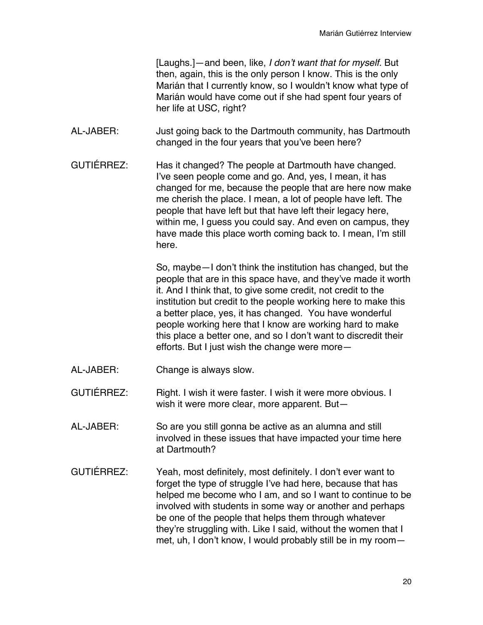[Laughs.]—and been, like, *I don't want that for myself.* But then, again, this is the only person I know. This is the only Marián that I currently know, so I wouldn't know what type of Marián would have come out if she had spent four years of her life at USC, right?

- AL-JABER: Just going back to the Dartmouth community, has Dartmouth changed in the four years that you've been here?
- GUTIÉRREZ: Has it changed? The people at Dartmouth have changed. I've seen people come and go. And, yes, I mean, it has changed for me, because the people that are here now make me cherish the place. I mean, a lot of people have left. The people that have left but that have left their legacy here, within me, I guess you could say. And even on campus, they have made this place worth coming back to. I mean, I'm still here.

So, maybe—I don't think the institution has changed, but the people that are in this space have, and they've made it worth it. And I think that, to give some credit, not credit to the institution but credit to the people working here to make this a better place, yes, it has changed. You have wonderful people working here that I know are working hard to make this place a better one, and so I don't want to discredit their efforts. But I just wish the change were more—

- AL-JABER: Change is always slow.
- GUTIÉRREZ: Right. I wish it were faster. I wish it were more obvious. I wish it were more clear, more apparent. But—
- AL-JABER: So are you still gonna be active as an alumna and still involved in these issues that have impacted your time here at Dartmouth?
- GUTIÉRREZ: Yeah, most definitely, most definitely. I don't ever want to forget the type of struggle I've had here, because that has helped me become who I am, and so I want to continue to be involved with students in some way or another and perhaps be one of the people that helps them through whatever they're struggling with. Like I said, without the women that I met, uh, I don't know, I would probably still be in my room—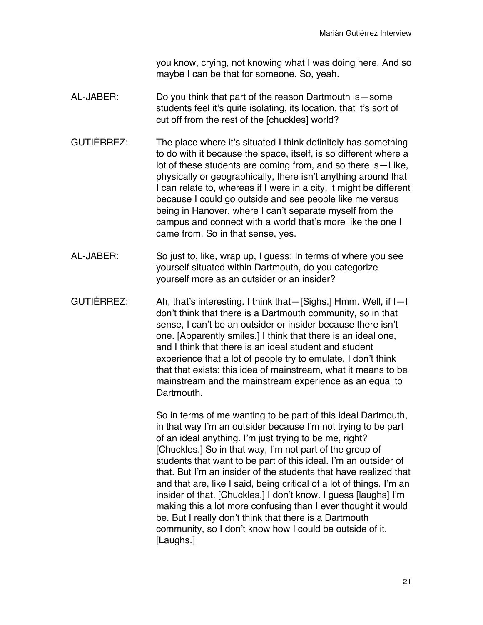you know, crying, not knowing what I was doing here. And so maybe I can be that for someone. So, yeah.

- AL-JABER: Do you think that part of the reason Dartmouth is—some students feel it's quite isolating, its location, that it's sort of cut off from the rest of the [chuckles] world?
- GUTIÉRREZ: The place where it's situated I think definitely has something to do with it because the space, itself, is so different where a lot of these students are coming from, and so there is—Like, physically or geographically, there isn't anything around that I can relate to, whereas if I were in a city, it might be different because I could go outside and see people like me versus being in Hanover, where I can't separate myself from the campus and connect with a world that's more like the one I came from. So in that sense, yes.
- AL-JABER: So just to, like, wrap up, I guess: In terms of where you see yourself situated within Dartmouth, do you categorize yourself more as an outsider or an insider?
- GUTIÉRREZ: Ah, that's interesting. I think that—[Sighs.] Hmm. Well, if I—I don't think that there is a Dartmouth community, so in that sense, I can't be an outsider or insider because there isn't one. [Apparently smiles.] I think that there is an ideal one, and I think that there is an ideal student and student experience that a lot of people try to emulate. I don't think that that exists: this idea of mainstream, what it means to be mainstream and the mainstream experience as an equal to Dartmouth.

So in terms of me wanting to be part of this ideal Dartmouth, in that way I'm an outsider because I'm not trying to be part of an ideal anything. I'm just trying to be me, right? [Chuckles.] So in that way, I'm not part of the group of students that want to be part of this ideal. I'm an outsider of that. But I'm an insider of the students that have realized that and that are, like I said, being critical of a lot of things. I'm an insider of that. [Chuckles.] I don't know. I guess [laughs] I'm making this a lot more confusing than I ever thought it would be. But I really don't think that there is a Dartmouth community, so I don't know how I could be outside of it. [Laughs.]